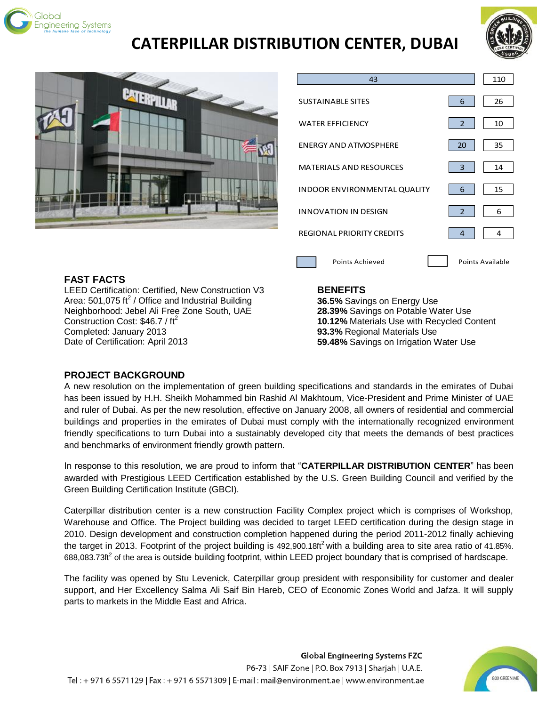

# **CATERPILLAR DISTRIBUTION CENTER, DUBAI**







# **FAST FACTS**

LEED Certification: Certified, New Construction V3 Area: 501,075 ft<sup>2</sup> / Office and Industrial Building Neighborhood: Jebel Ali Free Zone South, UAE Construction Cost:  $$46.7 / ft<sup>2</sup>$ Completed: January 2013 Date of Certification: April 2013

#### **BENEFITS**

**36.5%** Savings on Energy Use **28.39%** Savings on Potable Water Use **10.12%** Materials Use with Recycled Content **93.3%** Regional Materials Use **59.48%** Savings on Irrigation Water Use

## **PROJECT BACKGROUND**

A new resolution on the implementation of green building specifications and standards in the emirates of Dubai has been issued by H.H. Sheikh Mohammed bin Rashid Al Makhtoum, Vice-President and Prime Minister of UAE and ruler of Dubai. As per the new resolution, effective on January 2008, all owners of residential and commercial buildings and properties in the emirates of Dubai must comply with the internationally recognized environment friendly specifications to turn Dubai into a sustainably developed city that meets the demands of best practices and benchmarks of environment friendly growth pattern.

In response to this resolution, we are proud to inform that "**CATERPILLAR DISTRIBUTION CENTER**" has been awarded with Prestigious LEED Certification established by the U.S. Green Building Council and verified by the Green Building Certification Institute (GBCI).

Caterpillar distribution center is a new construction Facility Complex project which is comprises of Workshop, Warehouse and Office. The Project building was decided to target LEED certification during the design stage in 2010. Design development and construction completion happened during the period 2011-2012 finally achieving the target in 2013. Footprint of the project building is  $492,900.18$ ft<sup>2</sup> with a building area to site area ratio of 41.85%. 688,083.73ft<sup>2</sup> of the area is outside building footprint, within LEED project boundary that is comprised of hardscape.

The facility was opened by Stu Levenick, Caterpillar group president with responsibility for customer and dealer support, and Her Excellency Salma Ali Saif Bin Hareb, CEO of Economic Zones World and Jafza. It will supply parts to markets in the Middle East and Africa.

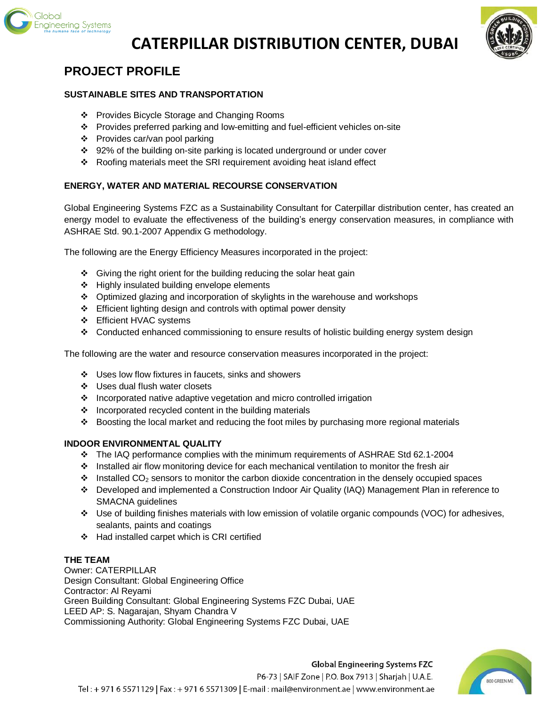

# **CATERPILLAR DISTRIBUTION CENTER, DUBAI**



# **PROJECT PROFILE**

#### **SUSTAINABLE SITES AND TRANSPORTATION**

- Provides Bicycle Storage and Changing Rooms
- Provides preferred parking and low-emitting and fuel-efficient vehicles on-site
- ❖ Provides car/van pool parking
- 92% of the building on-site parking is located underground or under cover
- \* Roofing materials meet the SRI requirement avoiding heat island effect

## **ENERGY, WATER AND MATERIAL RECOURSE CONSERVATION**

Global Engineering Systems FZC as a Sustainability Consultant for Caterpillar distribution center, has created an energy model to evaluate the effectiveness of the building's energy conservation measures, in compliance with ASHRAE Std. 90.1-2007 Appendix G methodology.

The following are the Energy Efficiency Measures incorporated in the project:

- $\div$  Giving the right orient for the building reducing the solar heat gain
- $\div$  Highly insulated building envelope elements
- Optimized glazing and incorporation of skylights in the warehouse and workshops
- Efficient lighting design and controls with optimal power density
- Efficient HVAC systems
- Conducted enhanced commissioning to ensure results of holistic building energy system design

The following are the water and resource conservation measures incorporated in the project:

- ❖ Uses low flow fixtures in faucets, sinks and showers
- ❖ Uses dual flush water closets
- ❖ Incorporated native adaptive vegetation and micro controlled irrigation
- $\cdot$  Incorporated recycled content in the building materials
- Boosting the local market and reducing the foot miles by purchasing more regional materials

## **INDOOR ENVIRONMENTAL QUALITY**

- The IAQ performance complies with the minimum requirements of ASHRAE Std 62.1-2004
- ❖ Installed air flow monitoring device for each mechanical ventilation to monitor the fresh air
- $\cdot \cdot$  Installed CO<sub>2</sub> sensors to monitor the carbon dioxide concentration in the densely occupied spaces
- Developed and implemented a Construction Indoor Air Quality (IAQ) Management Plan in reference to SMACNA guidelines
- Use of building finishes materials with low emission of volatile organic compounds (VOC) for adhesives, sealants, paints and coatings
- Had installed carpet which is CRI certified

## **THE TEAM**

Owner: CATERPILLAR Design Consultant: Global Engineering Office Contractor: Al Reyami Green Building Consultant: Global Engineering Systems FZC Dubai, UAE LEED AP: S. Nagarajan, Shyam Chandra V Commissioning Authority: Global Engineering Systems FZC Dubai, UAE